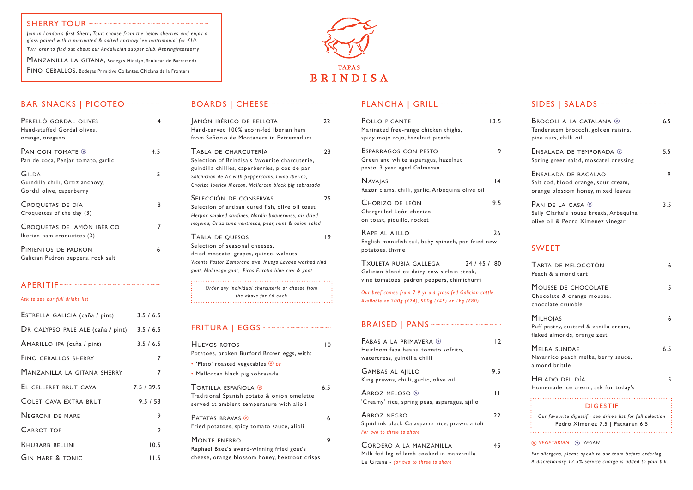## BAR SNACKS | PICOTEO ···························

| PERELLÓ GORDAL OLIVES<br>Hand-stuffed Gordal olives,<br>orange, oregano |     |
|-------------------------------------------------------------------------|-----|
| Pan con tomate $\mathbb Q$<br>Pan de coca, Penjar tomato, garlic        | 4.5 |
| GILDA<br>Guindilla chilli, Ortiz anchovy,<br>Gordal olive, caperberry   | 5   |
| CROQUETAS DE DÍA<br>Croquettes of the day (3)                           | 8   |
| CROQUETAS DE JAMÓN IBÉRICO<br>Iberian ham croquettes (3)                |     |
| PIMIENTOS DE PADRÓN<br>Galician Padron peppers, rock salt               | 6   |

#### APERITIF

#### *Ask to see our full drinks list*

| ESTRELLA GALICIA (caña / pint)              | 3.5 / 6.5  |
|---------------------------------------------|------------|
| DR CALYPSO PALE ALE (caña / pint) 3.5 / 6.5 |            |
| AMARILLO IPA (caña / pint)                  | 3.5 / 6.5  |
| <b>FINO CEBALLOS SHERRY</b>                 | 7          |
| MANZANILLA LA GITANA SHERRY                 | 7          |
| EL CELLERET BRUT CAVA                       | 7.5 / 39.5 |
| <b>COLET CAVA EXTRA BRUT</b>                | 9.5 / 53   |
| <b>NEGRONI DE MARE</b>                      | 9          |
| <b>CARROT TOP</b>                           | 9          |
| <b>RHUBARB BELLINI</b>                      | 10.5       |
| <b>GIN MARE &amp; TONIC</b>                 | l I.5      |

### BOARDS | CHEESE ··········

| AMÓN IBÉRICO DE BELLOTA<br>Hand-carved 100% acorn-fed Iberian ham<br>from Señorio de Montanera in Extremadura                                                                                                                          | 22 |
|----------------------------------------------------------------------------------------------------------------------------------------------------------------------------------------------------------------------------------------|----|
| TABLA DE CHARCUTERÍA<br>Selection of Brindisa's favourite charcuterie,<br>guindilla chillies, caperberries, picos de pan<br>Salchichón de Vic with peppercorns, Lomo Iberico,<br>Chorizo Iberico Morcon, Mallorcan black pig sobrasada | 23 |
| Selección de conservas<br>Selection of artisan cured fish, olive oil toast<br>Herpac smoked sardines, Nardin boquerones, air dried<br>mojama, Ortiz tuna ventresca, pear, mint & onion salad                                           | 25 |
| TABLA DE QUESOS<br>Selection of seasonal cheeses,<br>dried moscatel grapes, quince, walnuts<br>Vicente Pastor Zamorano ewe, Musgo Lavado washed rind<br>goat, Moluengo goat, Picos Europa blue cow & goat                              | 19 |
| Order any individual charcuterie or cheese from<br>$\mathcal{L}$ . The contract of $\mathcal{L}$ and $\mathcal{L}$                                                                                                                     |    |

ARROZ NEGRO 22 Squid ink black Calasparra rice, prawn, alioli *For two to three to share*

CORDERO A LA MANZANILLA 45 Milk-fed leg of lamb cooked in manzanilla La Gitana - *for two to three to share*

*the above for £6 each*

## FRITURA | EGGS ·····

| HUEVOS ROTOS<br>Potatoes, broken Burford Brown eggs, with:                                                      | ۱۵  |
|-----------------------------------------------------------------------------------------------------------------|-----|
| • 'Pisto' roasted vegetables $@$ or<br>· Mallorcan black pig sobrasada                                          |     |
| TORTILLA ESPAÑOLA ®<br>Traditional Spanish potato & onion omelette<br>served at ambient temperature with alioli | 6.5 |
| <b>PATATAS BRAVAS W</b><br>Fried potatoes, spicy tomato sauce, alioli                                           | 6   |
| MONTE ENEBRO<br>Raphael Baez's award-winning fried goat's<br>cheese, orange blossom honey, beetroot crisps      | 9   |

#### PLANCHA | GRILL<sup>.....</sup>

| POLLO PICANTE<br>Marinated free-range chicken thighs,<br>spicy mojo rojo, hazelnut picada                                     | 13.5 |
|-------------------------------------------------------------------------------------------------------------------------------|------|
| ESPARRAGOS CON PESTO<br>Green and white asparagus, hazelnut<br>pesto, 3 year aged Galmesan                                    | 9    |
| <b>NAVAJAS</b><br>Razor clams, chilli, garlic, Arbequina olive oil                                                            | 4    |
| CHORIZO DE LEÓN<br>Chargrilled León chorizo<br>on toast, piquillo, rocket                                                     | 9.5  |
| RAPE AL AJILLO<br>English monkfish tail, baby spinach, pan fried new<br>potatoes, thyme                                       | 26   |
| TXULETA RUBIA GALLEGA<br>24/45/80<br>Galician blond ex dairy cow sirloin steak,<br>vine tomatoes, padron peppers, chimichurri |      |
| Our beef comes from 7-9 yr old grass-fed Galician cattle.<br>Available as 200g (£24), 500g (£45) or 1kg (£80)                 |      |
|                                                                                                                               |      |
| FABAS A LA PRIMAVERA $\mathbb{Q}$<br>Heirloom faba beans, tomato sofrito,<br>watercress, guindilla chilli                     | 12   |
| <b>GAMBAS AL AJILLO</b><br>King prawns, chilli, garlic, olive oil                                                             | 9.5  |
| ARROZ MELOSO $\mathcal D$<br>'Creamy' rice, spring peas, asparagus, ajillo                                                    | П    |

| <b>BROCOLI A LA CATALANA W</b><br>Tenderstem broccoli, golden raisins,<br>pine nuts, chilli oil  | 6.5 |
|--------------------------------------------------------------------------------------------------|-----|
| ENSALADA DE TEMPORADA ®<br>Spring green salad, moscatel dressing                                 | 5.5 |
| ENSALADA DE BACALAO<br>Salt cod, blood orange, sour cream,<br>orange blossom honey, mixed leaves | 9   |
| PAN DE LA CASA ®<br>Sally Clarke's house breads, Arbequina<br>olive oil & Pedro Ximenez vinegar  | 3.5 |
|                                                                                                  |     |
| TARTA DE MELOCOTÓN<br>Peach & almond tart                                                        | 6   |
| MOUSSE DE CHOCOLATE<br>Chocolate & orange mousse,<br>chocolate crumble                           | 5   |
| <b>MILHOJAS</b><br>Puff pastry, custard & vanilla cream,<br>flaked almonds, orange zest          | 6   |
| <b>MELBA SUNDAE</b><br>Navarrico peach melba, berry sauce,<br>almond brittle                     | 6.5 |
| Helado del día<br>Homemade ice cream, ask for today's                                            | 5   |
| <b>DIGESTIF</b>                                                                                  |     |
| Our favourite digestif - see drinks list for full selection<br>Pedro Ximenez 7.5   Patxaran 6.5  |     |

#### *vegetarian vegan*

*For allergens, please speak to our team before ordering. A discretionary 12.5% service charge is added to your bill.*

#### SHERRY TOUR ···

*Join in London's first Sherry Tour: choose from the below sherries and enjoy a glass paired with a marinated & salted anchovy 'en matrimonio' for £10. Turn over to find out about our Andalucian supper club. #springintosherry*

MANZANILLA LA GITANA, Bodegas Hidalgo, Sanlucar de Barrameda FINO CEBALLOS, Bodegas Primitivo Collantes, Chiclana de la Frontera